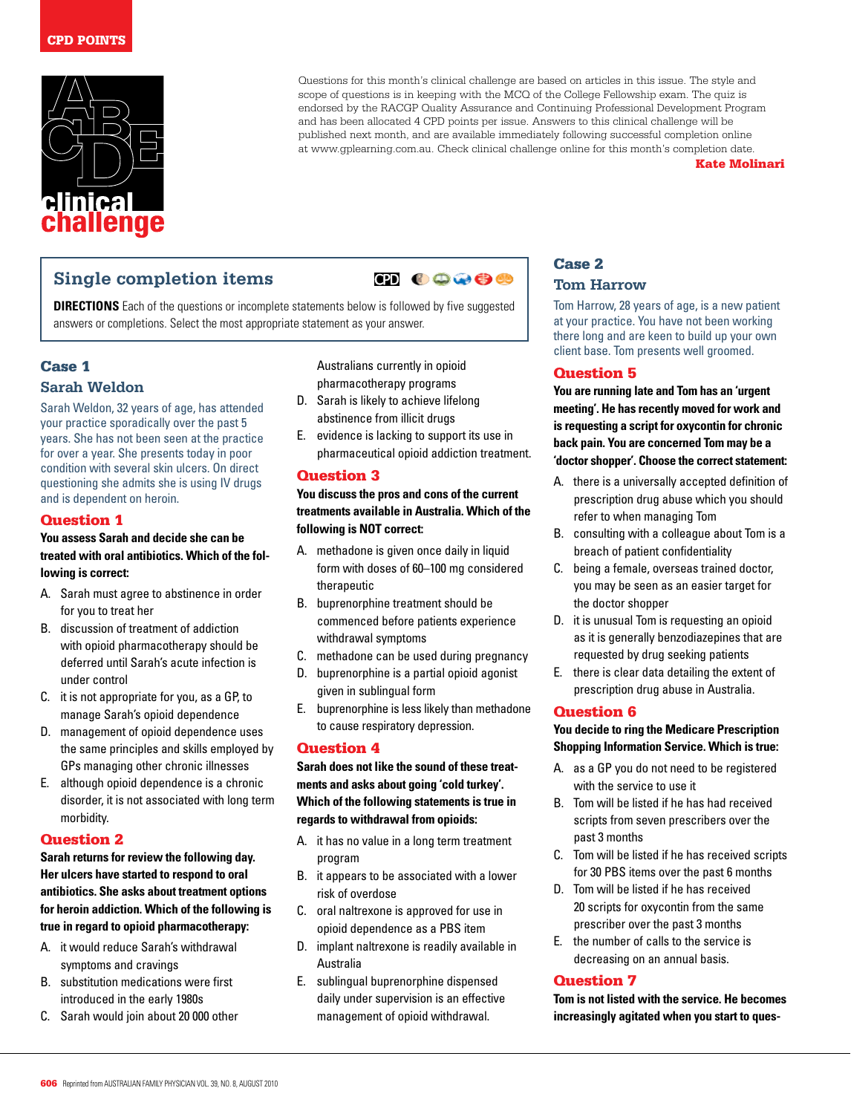

Questions for this month's clinical challenge are based on articles in this issue. The style and scope of questions is in keeping with the MCQ of the College Fellowship exam. The quiz is endorsed by the RACGP Quality Assurance and Continuing Professional Development Program and has been allocated 4 CPD points per issue. Answers to this clinical challenge will be published next month, and are available immediately following successful completion online at www.gplearning.com.au. Check clinical challenge online for this month's completion date.

#### Kate Molinari

# **Single completion items**

 $\bullet$   $\bullet$   $\bullet$ 

**DIRECTIONS** Each of the questions or incomplete statements below is followed by five suggested answers or completions. Select the most appropriate statement as your answer.

## Case 1

## **Sarah Weldon**

Sarah Weldon, 32 years of age, has attended your practice sporadically over the past 5 years. She has not been seen at the practice for over a year. She presents today in poor condition with several skin ulcers. On direct questioning she admits she is using IV drugs and is dependent on heroin.

## Question 1

#### **You assess Sarah and decide she can be treated with oral antibiotics. Which of the following is correct:**

- A. Sarah must agree to abstinence in order for you to treat her
- B. discussion of treatment of addiction with opioid pharmacotherapy should be deferred until Sarah's acute infection is under control
- C. it is not appropriate for you, as a GP, to manage Sarah's opioid dependence
- D. management of opioid dependence uses the same principles and skills employed by GPs managing other chronic illnesses
- E. although opioid dependence is a chronic disorder, it is not associated with long term morbidity.

### Question 2

## **Sarah returns for review the following day. Her ulcers have started to respond to oral antibiotics. She asks about treatment options for heroin addiction. Which of the following is true in regard to opioid pharmacotherapy:**

- A. it would reduce Sarah's withdrawal symptoms and cravings
- B. substitution medications were first introduced in the early 1980s
- C. Sarah would join about 20 000 other

Australians currently in opioid pharmacotherapy programs

- D. Sarah is likely to achieve lifelong abstinence from illicit drugs
- E. evidence is lacking to support its use in pharmaceutical opioid addiction treatment.

## Question 3

## **You discuss the pros and cons of the current treatments available in Australia. Which of the following is NOT correct:**

- A. methadone is given once daily in liquid form with doses of 60–100 mg considered therapeutic
- B. buprenorphine treatment should be commenced before patients experience withdrawal symptoms
- C. methadone can be used during pregnancy
- D. buprenorphine is a partial opioid agonist given in sublingual form
- E. buprenorphine is less likely than methadone to cause respiratory depression.

### Question 4

**Sarah does not like the sound of these treatments and asks about going 'cold turkey'. Which of the following statements is true in regards to withdrawal from opioids:**

- A. it has no value in a long term treatment program
- B. it appears to be associated with a lower risk of overdose
- C. oral naltrexone is approved for use in opioid dependence as a PBS item
- D. implant naltrexone is readily available in Australia
- E. sublingual buprenorphine dispensed daily under supervision is an effective management of opioid withdrawal.

## Case 2 **Tom Harrow**

Tom Harrow, 28 years of age, is a new patient at your practice. You have not been working there long and are keen to build up your own client base. Tom presents well groomed.

## Question 5

**You are running late and Tom has an 'urgent meeting'. He has recently moved for work and is requesting a script for oxycontin for chronic back pain. You are concerned Tom may be a 'doctor shopper'. Choose the correct statement:**

- A. there is a universally accepted definition of prescription drug abuse which you should refer to when managing Tom
- B. consulting with a colleague about Tom is a breach of patient confidentiality
- C. being a female, overseas trained doctor, you may be seen as an easier target for the doctor shopper
- D. it is unusual Tom is requesting an opioid as it is generally benzodiazepines that are requested by drug seeking patients
- E. there is clear data detailing the extent of prescription drug abuse in Australia.

### Question 6

**You decide to ring the Medicare Prescription Shopping Information Service. Which is true:**

- A. as a GP you do not need to be registered with the service to use it
- B. Tom will be listed if he has had received scripts from seven prescribers over the past 3 months
- C. Tom will be listed if he has received scripts for 30 PBS items over the past 6 months
- D. Tom will be listed if he has received 20 scripts for oxycontin from the same prescriber over the past 3 months
- E. the number of calls to the service is decreasing on an annual basis.

### Question 7

**Tom is not listed with the service. He becomes increasingly agitated when you start to ques-**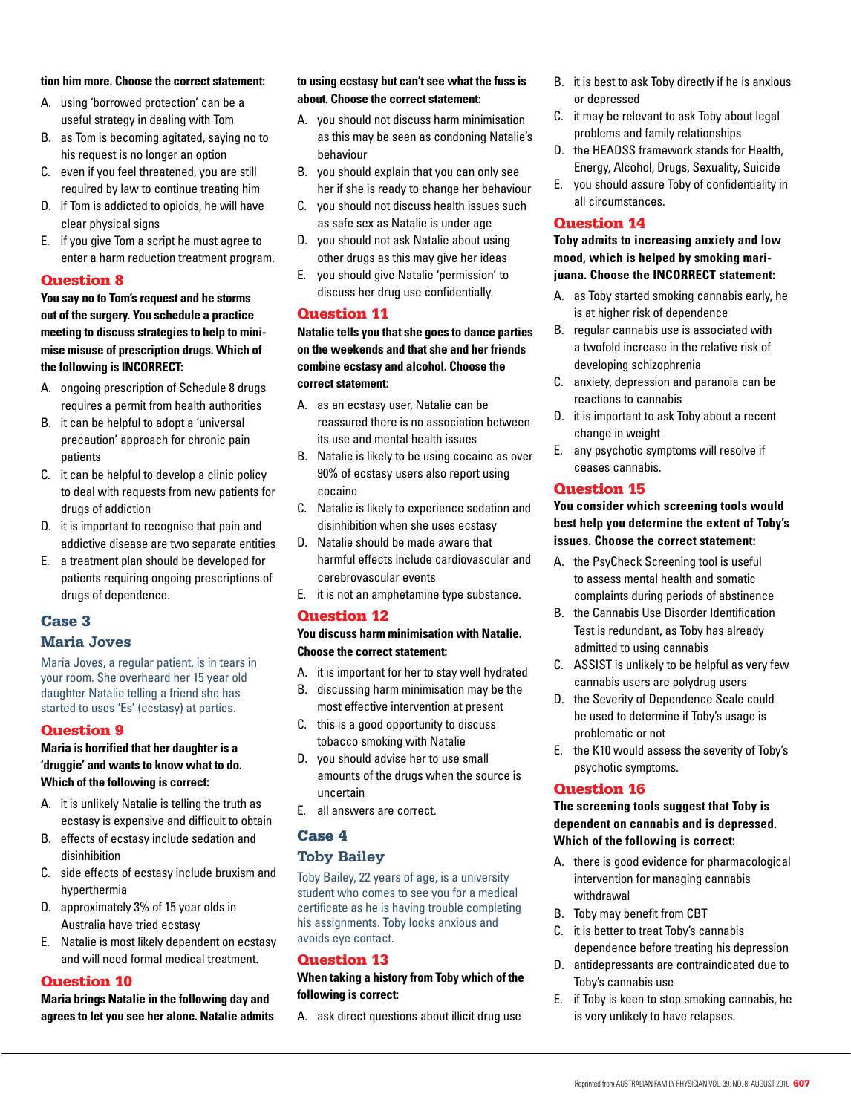#### **tion him more. Choose the correct statement:**

- A. using 'borrowed protection' can be a useful strategy in dealing with Tom
- B. as Tom is becoming agitated, saying no to his request is no longer an option
- C. even if you feel threatened, you are still required by law to continue treating him
- D. if Tom is addicted to opioids, he will have clear physical signs
- E. if you give Tom a script he must agree to enter a harm reduction treatment program.

#### Question 8

**You say no to Tom's request and he storms out of the surgery. You schedule a practice meeting to discuss strategies to help to minimise misuse of prescription drugs. Which of the following is INCORRECT:** 

- A. ongoing prescription of Schedule 8 drugs requires a permit from health authorities
- B. it can be helpful to adopt a 'universal precaution' approach for chronic pain patients
- C. it can be helpful to develop a clinic policy to deal with requests from new patients for drugs of addiction
- D. it is important to recognise that pain and addictive disease are two separate entities
- E. a treatment plan should be developed for patients requiring ongoing prescriptions of drugs of dependence.

#### Case 3

## **Maria Joves**

Maria Joves, a regular patient, is in tears in your room. She overheard her 15 year old daughter Natalie telling a friend she has started to uses 'Es' (ecstasy) at parties.

#### Question 9

## **Maria is horrified that her daughter is a 'druggie' and wants to know what to do. Which of the following is correct:**

- A. it is unlikely Natalie is telling the truth as ecstasy is expensive and difficult to obtain
- B. effects of ecstasy include sedation and disinhibition
- C. side effects of ecstasy include bruxism and hyperthermia
- D. approximately 3% of 15 year olds in Australia have tried ecstasy
- E. Natalie is most likely dependent on ecstasy and will need formal medical treatment.

#### Question 10

**Maria brings Natalie in the following day and agrees to let you see her alone. Natalie admits** 

#### **to using ecstasy but can't see what the fuss is about. Choose the correct statement:**

- A. you should not discuss harm minimisation as this may be seen as condoning Natalie's behaviour
- B. you should explain that you can only see her if she is ready to change her behaviour
- C. you should not discuss health issues such as safe sex as Natalie is under age
- D. you should not ask Natalie about using other drugs as this may give her ideas
- E. you should give Natalie 'permission' to discuss her drug use confidentially.

#### Question 11

**Natalie tells you that she goes to dance parties on the weekends and that she and her friends combine ecstasy and alcohol. Choose the correct statement:**

- A. as an ecstasy user, Natalie can be reassured there is no association between its use and mental health issues
- B. Natalie is likely to be using cocaine as over 90% of ecstasy users also report using cocaine
- C. Natalie is likely to experience sedation and disinhibition when she uses ecstasy
- D. Natalie should be made aware that harmful effects include cardiovascular and cerebrovascular events
- E. it is not an amphetamine type substance.

#### Question 12

### **You discuss harm minimisation with Natalie. Choose the correct statement:**

- A. it is important for her to stay well hydrated
- B. discussing harm minimisation may be the most effective intervention at present
- C. this is a good opportunity to discuss tobacco smoking with Natalie
- D. you should advise her to use small amounts of the drugs when the source is uncertain
- E. all answers are correct.

## Case 4

## **Toby Bailey**

Toby Bailey, 22 years of age, is a university student who comes to see you for a medical certificate as he is having trouble completing his assignments. Toby looks anxious and avoids eye contact.

## Question 13

#### **When taking a history from Toby which of the following is correct:**

A. ask direct questions about illicit drug use

- B. it is best to ask Toby directly if he is anxious or depressed
- C. it may be relevant to ask Toby about legal problems and family relationships
- D. the HEADSS framework stands for Health, Energy, Alcohol, Drugs, Sexuality, Suicide
- E. you should assure Toby of confidentiality in all circumstances.

### Question 14

## **Toby admits to increasing anxiety and low mood, which is helped by smoking marijuana. Choose the INCORRECT statement:**

- A. as Toby started smoking cannabis early, he is at higher risk of dependence
- B. regular cannabis use is associated with a twofold increase in the relative risk of developing schizophrenia
- C. anxiety, depression and paranoia can be reactions to cannabis
- D. it is important to ask Toby about a recent change in weight
- E. any psychotic symptoms will resolve if ceases cannabis.

#### Question 15

## **You consider which screening tools would best help you determine the extent of Toby's issues. Choose the correct statement:**

- A. the PsyCheck Screening tool is useful to assess mental health and somatic complaints during periods of abstinence
- B. the Cannabis Use Disorder Identification Test is redundant, as Toby has already admitted to using cannabis
- C. ASSIST is unlikely to be helpful as very few cannabis users are polydrug users
- D. the Severity of Dependence Scale could be used to determine if Toby's usage is problematic or not
- E. the K10 would assess the severity of Toby's psychotic symptoms.

#### Question 16

### **The screening tools suggest that Toby is dependent on cannabis and is depressed. Which of the following is correct:**

- A. there is good evidence for pharmacological intervention for managing cannabis withdrawal
- B. Toby may benefit from CBT
- C. it is better to treat Toby's cannabis dependence before treating his depression
- D. antidepressants are contraindicated due to Toby's cannabis use
- E. if Toby is keen to stop smoking cannabis, he is very unlikely to have relapses.